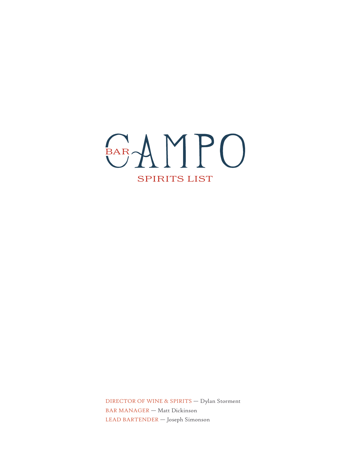

DIRECTOR OF WINE & SPIRITS — Dylan Storment BAR MANAGER — Matt Dickinson LEAD BARTENDER — Joseph Simonson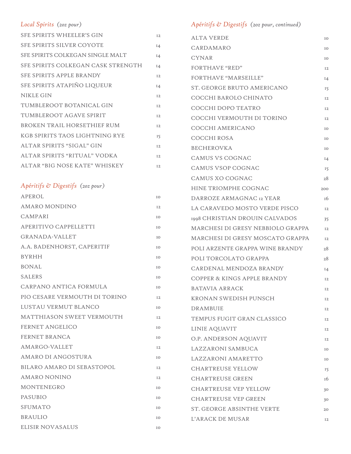# *Local Spirits (2oz pour)*

| SFE SPIRITS WHEELER'S GIN          | 12             |
|------------------------------------|----------------|
| SFE SPIRITS SILVER COYOTE          | 14             |
| SFE SPIRITS COLKEGAN SINGLE MALT   | $I_4$          |
| SFE SPIRITS COLKEGAN CASK STRENGTH | 14             |
| SFE SPIRITS APPLE BRANDY           | <b>I2</b>      |
| SFE SPIRITS ATAPIÑO LIQUEUR        | 14             |
| NIKLE GIN                          | 12             |
| TUMBLEROOT BOTANICAL GIN           | I <sub>2</sub> |
| TUMBLEROOT AGAVE SPIRIT            | 12             |
| BROKEN TRAIL HORSETHIEF RUM        | <b>I2</b>      |
| KGB SPIRITS TAOS LIGHTNING RYE     | 15             |
| ALTAR SPIRITS "SIGAL" GIN          | <b>I2</b>      |
| ALTAR SPIRITS "RITUAL" VODKA       | 12             |
| ALTAR "BIG NOSE KATE" WHISKEY      | <b>I2</b>      |
|                                    |                |

#### *Apéritifs & Digestifs (2oz pour)*

| APEROL                           | IO             |
|----------------------------------|----------------|
| <b>AMARO MONDINO</b>             | 12             |
| CAMPARI                          | IO             |
| APERITIVO CAPPELLETTI            | IO             |
| GRANADA-VALLET                   | IO             |
| A.A. BADENHORST, CAPERITIF       | IO             |
| <b>BYRHH</b>                     | TO.            |
| <b>BONAL</b>                     | TO.            |
| <b>SALERS</b>                    | TO.            |
| CARPANO ANTICA FORMULA           | IO             |
| PIO CESARE VERMOUTH DI TORINO    | <b>I2</b>      |
| LUSTAU VERMUT BLANCO             | TO.            |
| <b>MATTHIASON SWEET VERMOUTH</b> | I2             |
| <b>FERNET ANGELICO</b>           | IO             |
| <b>FERNET BRANCA</b>             | IO             |
| AMARGO-VALLET                    | I <sub>2</sub> |
| AMARO DI ANGOSTURA               | IO             |
| BILARO AMARO DI SEBASTOPOL       | 12             |
| <b>AMARO NONINO</b>              | 12             |
| MONTENEGRO                       | IO             |
| <b>PASUBIO</b>                   | IO             |
| <b>SFUMATO</b>                   | IO             |
| <b>BRAULIO</b>                   | TO.            |
| ELISIR NOVASALUS                 | IO             |

*Apéritifs & Digestifs (2oz pour, continued)*

| <b>ALTA VERDE</b>                 | IO            |
|-----------------------------------|---------------|
| CARDAMARO                         | IO            |
| <b>CYNAR</b>                      | IO            |
| <b>FORTHAVE "RED"</b>             | I2            |
| FORTHAVE "MARSEILLE"              | $I_4$         |
| ST. GEORGE BRUTO AMERICANO        | 15            |
| COCCHI BAROLO CHINATO             | I2            |
| COCCHI DOPO TEATRO                | 12            |
| COCCHI VERMOUTH DI TORINO         | I2            |
| COCCHI AMERICANO                  | IO            |
| COCCHI ROSA                       | IO            |
| <b>BECHEROVKA</b>                 | IO            |
| <b>CAMUS VS COGNAC</b>            | I4            |
| <b>CAMUS VSOP COGNAC</b>          | 15            |
| CAMUS XO COGNAC                   | 28            |
| <b>HINE TRIOMPHE COGNAC</b>       | 200           |
| DARROZE ARMAGNAC 12 YEAR          | <sup>16</sup> |
| LA CARAVEDO MOSTO VERDE PISCO     | 12            |
| 1998 CHRISTIAN DROUIN CALVADOS    | 35            |
| MARCHESI DI GRESY NEBBIOLO GRAPPA | 12            |
| MARCHESI DI GRESY MOSCATO GRAPPA  | 12            |
| POLI ARZENTE GRAPPA WINE BRANDY   | 28            |
| POLI TORCOLATO GRAPPA             | 28            |
| CARDENAL MENDOZA BRANDY           | $I_4$         |
| COPPER & KINGS APPLE BRANDY       | I2            |
| <b>BATAVIA ARRACK</b>             | 12            |
| KRONAN SWEDISH PUNSCH             | 12            |
| <b>DRAMBUIE</b>                   | 12            |
| TEMPUS FUGIT GRAN CLASSICO        | 12            |
| LINIE AQUAVIT                     | 12            |
| O.P. ANDERSON AQUAVIT             | 12            |
| LAZZARONI SAMBUCA                 | IO            |
| LAZZARONI AMARETTO                | IO            |
| <b>CHARTREUSE YELLOW</b>          | 15            |
| <b>CHARTREUSE GREEN</b>           | 16            |
| <b>CHARTREUSE VEP YELLOW</b>      | 30            |
| <b>CHARTREUSE VEP GREEN</b>       | 30            |
| <b>ST. GEORGE ABSINTHE VERTE</b>  | 20            |
| L'ARACK DE MUSAR                  | 12            |
|                                   |               |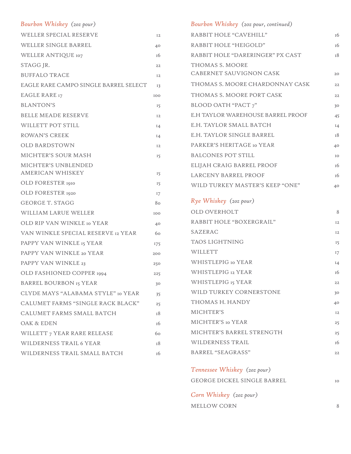#### *Bourbon Whiskey (2oz pour)*

| WELLER SPECIAL RESERVE                | 12             |
|---------------------------------------|----------------|
| WELLER SINGLE BARREL                  | 40             |
| WELLER ANTIQUE 107                    | 16             |
| STAGG JR.                             | 22             |
| <b>BUFFALO TRACE</b>                  | I <sub>2</sub> |
| EAGLE RARE CAMPO SINGLE BARREL SELECT | 13             |
| <b>EAGLE RARE 17</b>                  | 100            |
| <b>BLANTON'S</b>                      | 15             |
| <b>BELLE MEADE RESERVE</b>            | I <sub>2</sub> |
| WILLETT POT STILL                     | $I_4$          |
| <b>ROWAN'S CREEK</b>                  | 14             |
| <b>OLD BARDSTOWN</b>                  | I <sub>2</sub> |
| MICHTER'S SOUR MASH                   | 15             |
| MICHTER'S UNBLENDED                   |                |
| <b>AMERICAN WHISKEY</b>               | 15             |
| OLD FORESTER 1910                     | 15             |
| OLD FORESTER 1920                     | 17             |
| <b>GEORGE T. STAGG</b>                | 80             |
| WILLIAM LARUE WELLER                  | 100            |
| OLD RIP VAN WINKLE 10 YEAR            | 40             |
| VAN WINKLE SPECIAL RESERVE 12 YEAR    | 60             |
| PAPPY VAN WINKLE 15 YEAR              | 175            |
| PAPPY VAN WINKLE 20 YEAR              | 200            |
| PAPPY VAN WINKLE 23                   | 250            |
| OLD FASHIONED COPPER 1994             | 225            |
| <b>BARREL BOURBON 15 YEAR</b>         | 30             |
| CLYDE MAYS "ALABAMA STYLE" IO YEAR    | 35             |
| CALUMET FARMS "SINGLE RACK BLACK"     | 25             |
| CALUMET FARMS SMALL BATCH             | 18             |
| OAK & EDEN                            | 16             |
| WILLETT 7 YEAR RARE RELEASE           | 60             |
| WILDERNESS TRAIL 6 YEAR               | 18             |
| WILDERNESS TRAIL SMALL BATCH          | 16             |

| Bourbon Whiskey (202 pour, continued) |               |
|---------------------------------------|---------------|
| RABBIT HOLE "CAVEHILL"                | т6            |
| RABBIT HOLE "HEIGOLD"                 | т6            |
| RABBIT HOLE "DARERINGER" PX CAST      | <sup>18</sup> |
| THOMAS S. MOORE                       |               |
| <b>CABERNET SAUVIGNON CASK</b>        | 20            |
| THOMAS S. MOORE CHARDONNAY CASK       | 22            |
| THOMAS S. MOORE PORT CASK             | 22            |
| <b>BLOOD OATH "PACT 7"</b>            | 30            |
| E.H TAYLOR WAREHOUSE BARREL PROOF     | 45            |
| E.H. TAYLOR SMALL BATCH               | I4            |
| <b>E.H. TAYLOR SINGLE BARREL</b>      | 18            |
| PARKER'S HERITAGE 10 YEAR             | 40            |
| <b>BALCONES POT STILL</b>             | IO            |
| ELIJAH CRAIG BARREL PROOF             | īб            |
| <b>LARCENY BARREL PROOF</b>           | īб            |
| WILD TURKEY MASTER'S KEEP "ONE"       | 40            |
| Rye Whiskey (202 pour)                |               |
| OLD OVERHOLT                          | 8             |
| RABBIT HOLE "BOXERGRAIL"              | I2            |
| SAZERAC                               | I2            |
| <b>TAOS LIGHTNING</b>                 | 15            |
| WILLETT                               | 17            |
| WHISTLEPIG 10 YEAR                    | I4            |
| WHISTLEPIG <sub>12</sub> YEAR         | 16            |
| WHISTLEPIG 15 YEAR                    | 22            |
| WILD TURKEY CORNERSTONE               | 30            |
| THOMAS H. HANDY                       | 40            |
| MICHTER'S                             | 12            |
| MICHTER'S 10 YEAR                     | 25            |
| MICHTER'S BARREL STRENGTH             | 25            |
| WILDERNESS TRAIL                      | 16            |
| <b>BARREL "SEAGRASS"</b>              | 22            |
| Tennessee Whiskey (202 pour)          |               |
| GEORGE DICKEL SINGLE BARREL           | IO            |
| Corn Whiskey (202 pour)               |               |
| MELLOW CORN                           | 8             |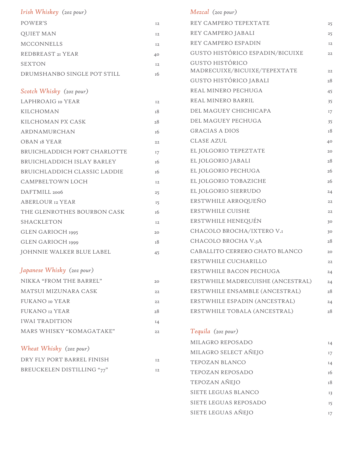| Irish Whiskey (202 pour)          |       | Mezcal (20z pour)                 |       |
|-----------------------------------|-------|-----------------------------------|-------|
| POWER'S                           | I2    | REY CAMPERO TEPEXTATE             | 25    |
| <b>QUIET MAN</b>                  | I2    | REY CAMPERO JABALI                | 25    |
| <b>MCCONNELLS</b>                 | I2    | REY CAMPERO ESPADIN               | I2    |
| REDBREAST <sub>2I</sub> YEAR      | 40    | GUSTO HISTÓRICO ESPADIN/BICUIXE   | 22    |
| <b>SEXTON</b>                     | I2    | <b>GUSTO HISTÓRICO</b>            |       |
| DRUMSHANBO SINGLE POT STILL       | 16    | MADRECUIXE/BICUIXE/TEPEXTATE      | 22    |
|                                   |       | GUSTO HISTÓRICO JABALI            | 28    |
| Scotch Whisky (202 pour)          |       | REAL MINERO PECHUGA               | 45    |
| LAPHROAIG 10 YEAR                 | I2    | REAL MINERO BARRIL                | 35    |
| KILCHOMAN                         | 18    | DEL MAGUEY CHICHICAPA             | 17    |
| KILCHOMAN PX CASK                 | 28    | DEL MAGUEY PECHUGA                | 35    |
| ARDNAMURCHAN                      | 16    | <b>GRACIAS A DIOS</b>             | 18    |
| <b>OBAN 18 YEAR</b>               | 22    | <b>CLASE AZUL</b>                 | 40    |
| BRUICHLADDICH PORT CHARLOTTE      | 17    | EL JOLGORIO TEPEZTATE             | 20    |
| <b>BRUICHLADDICH ISLAY BARLEY</b> | 16    | EL JOLGORIO JABALI                | 28    |
| BRUICHLADDICH CLASSIC LADDIE      | 16    | EL JOLGORIO PECHUGA               | 26    |
| <b>CAMPBELTOWN LOCH</b>           | I2    | EL JOLGORIO TOBAZICHE             | 26    |
| DAFTMILL 2006                     | 25    | EL JOLGORIO SIERRUDO              | 24    |
| <b>ABERLOUR 12 YEAR</b>           | 15    | ERSTWHILE ARROQUEÑO               | 22    |
| THE GLENROTHES BOURBON CASK       | 16    | ERSTWHILE CUISHE                  | 22    |
| SHACKLETON                        | I2    | ERSTWHILE HENEQUÉN                | 30    |
| GLEN GARIOCH 1995                 | 20    | CHACOLO BROCHA/IXTERO V.I         | 30    |
| GLEN GARIOCH 1999                 | 18    | CHACOLO BROCHA V.3A               | 28    |
| JOHNNIE WALKER BLUE LABEL         | 45    | CABALLITO CERRERO CHATO BLANCO    | 20    |
|                                   |       | ERSTWHILE CUCHARILLO              | 22    |
| Japanese Whisky (202 pour)        |       | ERSTWHILE BACON PECHUGA           | 24    |
| NIKKA "FROM THE BARREL"           | 20    | ERSTWHILE MADRECUISHE (ANCESTRAL) | 24    |
| MATSUI MIZUNARA CASK              | 22    | ERSTWHILE ENSAMBLE (ANCESTRAL)    | 28    |
| <b>FUKANO</b> Io YEAR             | 22    | ERSTWHILE ESPADIN (ANCESTRAL)     | 24    |
| FUKANO 12 YEAR                    | 28    | ERSTWHILE TOBALA (ANCESTRAL)      | 28    |
| <b>IWAI TRADITION</b>             | $I_4$ |                                   |       |
| MARS WHISKY "KOMAGATAKE"          | 22    | Tequila (202 pour)                |       |
|                                   |       | MILAGRO REPOSADO                  | $I_4$ |
| Wheat Whisky (202 pour)           |       | MILAGRO SELECT AÑEJO              | 17    |
| DRY FLY PORT BARREL FINISH        | I2    | TEPOZAN BLANCO                    | $I_4$ |
| BREUCKELEN DISTILLING "77"        | I2    | TEPOZAN REPOSADO                  | 16    |
|                                   |       | TEPOZAN AÑEJO                     | 18    |
|                                   |       | SIETE LEGUAS BLANCO               | 13    |

SIETE LEGUAS REPOSADO 15 SIETE LEGUAS AÑEJO 17